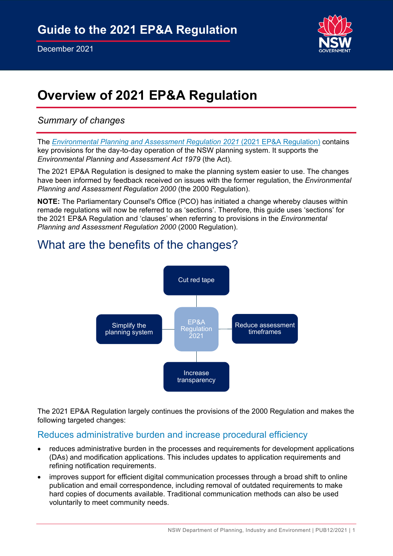

# **Overview of 2021 EP&A Regulation**

## *Summary of changes*

The *[Environmental Planning and Assessment Regulation 2021](https://legislation.nsw.gov.au/view/pdf/asmade/sl-2021-759)* (2021 EP&A Regulation) contains key provisions for the day-to-day operation of the NSW planning system. It supports the *Environmental Planning and Assessment Act 1979* (the Act).

The 2021 EP&A Regulation is designed to make the planning system easier to use. The changes have been informed by feedback received on issues with the former regulation, the *Environmental Planning and Assessment Regulation 2000* (the 2000 Regulation).

**NOTE:** The Parliamentary Counsel's Office (PCO) has initiated a change whereby clauses within remade regulations will now be referred to as 'sections'. Therefore, this guide uses 'sections' for the 2021 EP&A Regulation and 'clauses' when referring to provisions in the *Environmental Planning and Assessment Regulation 2000* (2000 Regulation).

# What are the benefits of the changes?



The 2021 EP&A Regulation largely continues the provisions of the 2000 Regulation and makes the following targeted changes:

## Reduces administrative burden and increase procedural efficiency

- reduces administrative burden in the processes and requirements for development applications (DAs) and modification applications. This includes updates to application requirements and refining notification requirements.
- improves support for efficient digital communication processes through a broad shift to online publication and email correspondence, including removal of outdated requirements to make hard copies of documents available. Traditional communication methods can also be used voluntarily to meet community needs.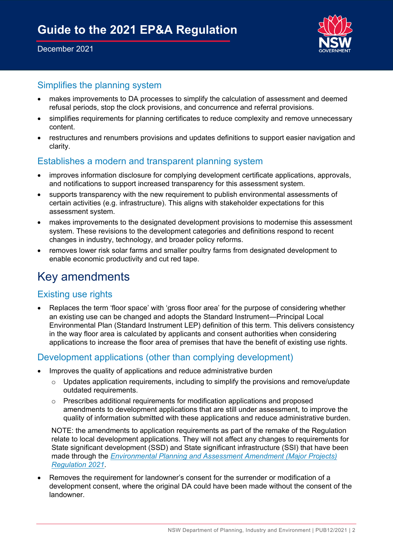

## Simplifies the planning system

- makes improvements to DA processes to simplify the calculation of assessment and deemed refusal periods, stop the clock provisions, and concurrence and referral provisions.
- simplifies requirements for planning certificates to reduce complexity and remove unnecessary content.
- restructures and renumbers provisions and updates definitions to support easier navigation and clarity.

## Establishes a modern and transparent planning system

- improves information disclosure for complying development certificate applications, approvals, and notifications to support increased transparency for this assessment system.
- supports transparency with the new requirement to publish environmental assessments of certain activities (e.g. infrastructure). This aligns with stakeholder expectations for this assessment system.
- makes improvements to the designated development provisions to modernise this assessment system. These revisions to the development categories and definitions respond to recent changes in industry, technology, and broader policy reforms.
- removes lower risk solar farms and smaller poultry farms from designated development to enable economic productivity and cut red tape.

## Key amendments

## Existing use rights

• Replaces the term 'floor space' with 'gross floor area' for the purpose of considering whether an existing use can be changed and adopts the Standard Instrument—Principal Local Environmental Plan (Standard Instrument LEP) definition of this term. This delivers consistency in the way floor area is calculated by applicants and consent authorities when considering applications to increase the floor area of premises that have the benefit of existing use rights.

## Development applications (other than complying development)

- Improves the quality of applications and reduce administrative burden
	- $\circ$  Updates application requirements, including to simplify the provisions and remove/update outdated requirements.
	- o Prescribes additional requirements for modification applications and proposed amendments to development applications that are still under assessment, to improve the quality of information submitted with these applications and reduce administrative burden.

NOTE: the amendments to application requirements as part of the remake of the Regulation relate to local development applications. They will not affect any changes to requirements for State significant development (SSD) and State significant infrastructure (SSI) that have been made through the *[Environmental Planning and Assessment Amendment \(Major Projects\)](https://legislation.nsw.gov.au/view/pdf/asmade/sl-2021-356)  [Regulation 2021](https://legislation.nsw.gov.au/view/pdf/asmade/sl-2021-356)*.

• Removes the requirement for landowner's consent for the surrender or modification of a development consent, where the original DA could have been made without the consent of the landowner.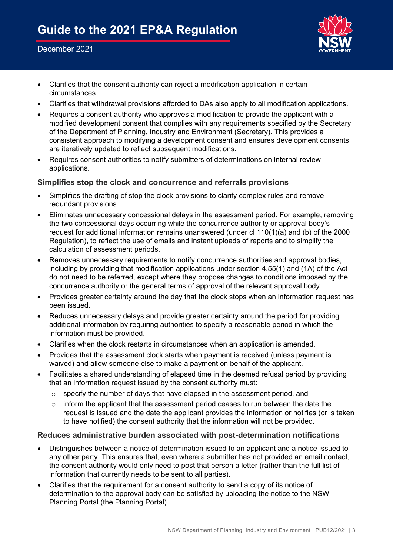

- Clarifies that the consent authority can reject a modification application in certain circumstances.
- Clarifies that withdrawal provisions afforded to DAs also apply to all modification applications.
- Requires a consent authority who approves a modification to provide the applicant with a modified development consent that complies with any requirements specified by the Secretary of the Department of Planning, Industry and Environment (Secretary). This provides a consistent approach to modifying a development consent and ensures development consents are iteratively updated to reflect subsequent modifications.
- Requires consent authorities to notify submitters of determinations on internal review applications.

#### **Simplifies stop the clock and concurrence and referrals provisions**

- Simplifies the drafting of stop the clock provisions to clarify complex rules and remove redundant provisions.
- Eliminates unnecessary concessional delays in the assessment period. For example, removing the two concessional days occurring while the concurrence authority or approval body's request for additional information remains unanswered (under cl 110(1)(a) and (b) of the 2000 Regulation), to reflect the use of emails and instant uploads of reports and to simplify the calculation of assessment periods.
- Removes unnecessary requirements to notify concurrence authorities and approval bodies, including by providing that modification applications under section 4.55(1) and (1A) of the Act do not need to be referred, except where they propose changes to conditions imposed by the concurrence authority or the general terms of approval of the relevant approval body.
- Provides greater certainty around the day that the clock stops when an information request has been issued.
- Reduces unnecessary delays and provide greater certainty around the period for providing additional information by requiring authorities to specify a reasonable period in which the information must be provided.
- Clarifies when the clock restarts in circumstances when an application is amended.
- Provides that the assessment clock starts when payment is received (unless payment is waived) and allow someone else to make a payment on behalf of the applicant.
- Facilitates a shared understanding of elapsed time in the deemed refusal period by providing that an information request issued by the consent authority must:
	- o specify the number of days that have elapsed in the assessment period, and
	- $\circ$  inform the applicant that the assessment period ceases to run between the date the request is issued and the date the applicant provides the information or notifies (or is taken to have notified) the consent authority that the information will not be provided.

#### **Reduces administrative burden associated with post-determination notifications**

- Distinguishes between a notice of determination issued to an applicant and a notice issued to any other party. This ensures that, even where a submitter has not provided an email contact, the consent authority would only need to post that person a letter (rather than the full list of information that currently needs to be sent to all parties).
- Clarifies that the requirement for a consent authority to send a copy of its notice of determination to the approval body can be satisfied by uploading the notice to the NSW Planning Portal (the Planning Portal).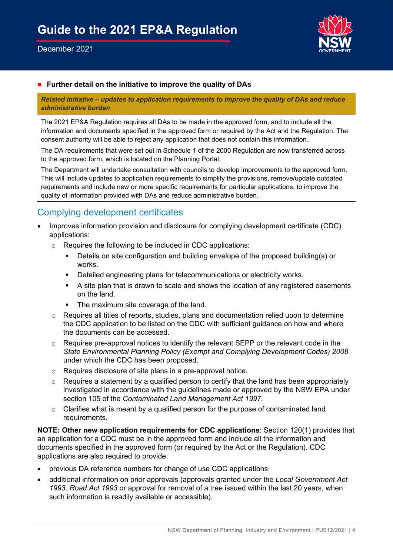

#### ■ **Further detail on the initiative to improve the quality of DAs**

*Related initiative – updates to application requirements to improve the quality of DAs and reduce administrative burden* 

The 2021 EP&A Regulation requires all DAs to be made in the approved form, and to include all the information and documents specified in the approved form or required by the Act and the Regulation. The consent authority will be able to reject any application that does not contain this information.

The DA requirements that were set out in Schedule 1 of the 2000 Regulation are now transferred across to the approved form, which is located on the Planning Portal.

The Department will undertake consultation with councils to develop improvements to the approved form. This will include updates to application requirements to simplify the provisions, remove/update outdated requirements and include new or more specific requirements for particular applications, to improve the quality of information provided with DAs and reduce administrative burden.

## Complying development certificates

- Improves information provision and disclosure for complying development certificate (CDC) applications:
	- o Requires the following to be included in CDC applications:
		- Details on site configuration and building envelope of the proposed building(s) or works.
		- **•** Detailed engineering plans for telecommunications or electricity works.
		- A site plan that is drawn to scale and shows the location of any registered easements on the land.
		- The maximum site coverage of the land.
	- o Requires all titles of reports, studies, plans and documentation relied upon to determine the CDC application to be listed on the CDC with sufficient guidance on how and where the documents can be accessed.
	- o Requires pre-approval notices to identify the relevant SEPP or the relevant code in the *State Environmental Planning Policy (Exempt and Complying Development Codes) 2008* under which the CDC has been proposed.
	- o Requires disclosure of site plans in a pre-approval notice.
	- $\circ$  Requires a statement by a qualified person to certify that the land has been appropriately investigated in accordance with the guidelines made or approved by the NSW EPA under section 105 of the *Contaminated Land Management Act 1997*.
	- $\circ$  Clarifies what is meant by a qualified person for the purpose of contaminated land requirements.

**NOTE: Other new application requirements for CDC applications**: Section 120(1) provides that an application for a CDC must be in the approved form and include all the information and documents specified in the approved form (or required by the Act or the Regulation). CDC applications are also required to provide:

- previous DA reference numbers for change of use CDC applications.
- additional information on prior approvals (approvals granted under the *Local Government Act 1993, Road Act 1993* or approval for removal of a tree issued within the last 20 years, when such information is readily available or accessible).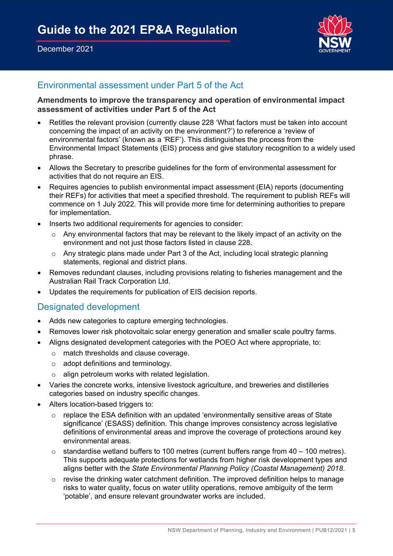

## Environmental assessment under Part 5 of the Act

#### **Amendments to improve the transparency and operation of environmental impact assessment of activities under Part 5 of the Act**

- Retitles the relevant provision (currently clause 228 'What factors must be taken into account concerning the impact of an activity on the environment?') to reference a 'review of environmental factors' (known as a 'REF'). This distinguishes the process from the Environmental Impact Statements (EIS) process and give statutory recognition to a widely used phrase.
- Allows the Secretary to prescribe guidelines for the form of environmental assessment for activities that do not require an EIS.
- Requires agencies to publish environmental impact assessment (EIA) reports (documenting their REFs) for activities that meet a specified threshold. The requirement to publish REFs will commence on 1 July 2022. This will provide more time for determining authorities to prepare for implementation.
- Inserts two additional requirements for agencies to consider:
	- $\circ$  Any environmental factors that may be relevant to the likely impact of an activity on the environment and not just those factors listed in clause 228.
	- o Any strategic plans made under Part 3 of the Act, including local strategic planning statements, regional and district plans.
- Removes redundant clauses, including provisions relating to fisheries management and the Australian Rail Track Corporation Ltd.
- Updates the requirements for publication of EIS decision reports.

### Designated development

- Adds new categories to capture emerging technologies.
- Removes lower risk photovoltaic solar energy generation and smaller scale poultry farms.
- Aligns designated development categories with the POEO Act where appropriate, to:
	- o match thresholds and clause coverage.
	- o adopt definitions and terminology.
	- o align petroleum works with related legislation.
- Varies the concrete works, intensive livestock agriculture, and breweries and distilleries categories based on industry specific changes.
- Alters location-based triggers to:
	- o replace the ESA definition with an updated 'environmentally sensitive areas of State significance' (ESASS) definition. This change improves consistency across legislative definitions of environmental areas and improve the coverage of protections around key environmental areas.
	- $\circ$  standardise wetland buffers to 100 metres (current buffers range from 40 100 metres). This supports adequate protections for wetlands from higher risk development types and aligns better with the *State Environmental Planning Policy (Coastal Management) 2018*.
	- $\circ$  revise the drinking water catchment definition. The improved definition helps to manage risks to water quality, focus on water utility operations, remove ambiguity of the term 'potable', and ensure relevant groundwater works are included.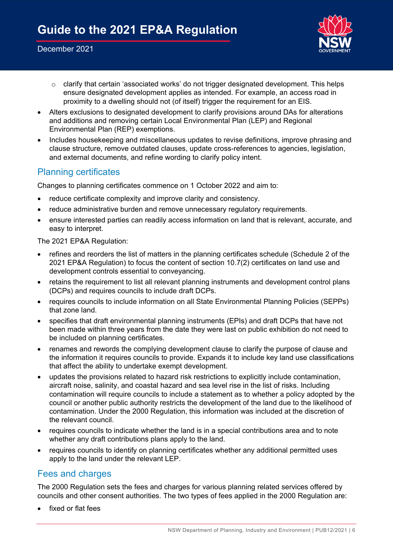

- o clarify that certain 'associated works' do not trigger designated development. This helps ensure designated development applies as intended. For example, an access road in proximity to a dwelling should not (of itself) trigger the requirement for an EIS.
- Alters exclusions to designated development to clarify provisions around DAs for alterations and additions and removing certain Local Environmental Plan (LEP) and Regional Environmental Plan (REP) exemptions.
- Includes housekeeping and miscellaneous updates to revise definitions, improve phrasing and clause structure, remove outdated clauses, update cross-references to agencies, legislation, and external documents, and refine wording to clarify policy intent.

## Planning certificates

Changes to planning certificates commence on 1 October 2022 and aim to:

- reduce certificate complexity and improve clarity and consistency.
- reduce administrative burden and remove unnecessary regulatory requirements.
- ensure interested parties can readily access information on land that is relevant, accurate, and easy to interpret.

The 2021 EP&A Regulation:

- refines and reorders the list of matters in the planning certificates schedule (Schedule 2 of the 2021 EP&A Regulation) to focus the content of section 10.7(2) certificates on land use and development controls essential to conveyancing.
- retains the requirement to list all relevant planning instruments and development control plans (DCPs) and requires councils to include draft DCPs.
- requires councils to include information on all State Environmental Planning Policies (SEPPs) that zone land.
- specifies that draft environmental planning instruments (EPIs) and draft DCPs that have not been made within three years from the date they were last on public exhibition do not need to be included on planning certificates.
- renames and rewords the complying development clause to clarify the purpose of clause and the information it requires councils to provide. Expands it to include key land use classifications that affect the ability to undertake exempt development.
- updates the provisions related to hazard risk restrictions to explicitly include contamination, aircraft noise, salinity, and coastal hazard and sea level rise in the list of risks. Including contamination will require councils to include a statement as to whether a policy adopted by the council or another public authority restricts the development of the land due to the likelihood of contamination. Under the 2000 Regulation, this information was included at the discretion of the relevant council.
- requires councils to indicate whether the land is in a special contributions area and to note whether any draft contributions plans apply to the land.
- requires councils to identify on planning certificates whether any additional permitted uses apply to the land under the relevant LEP.

## Fees and charges

The 2000 Regulation sets the fees and charges for various planning related services offered by councils and other consent authorities. The two types of fees applied in the 2000 Regulation are:

• fixed or flat fees